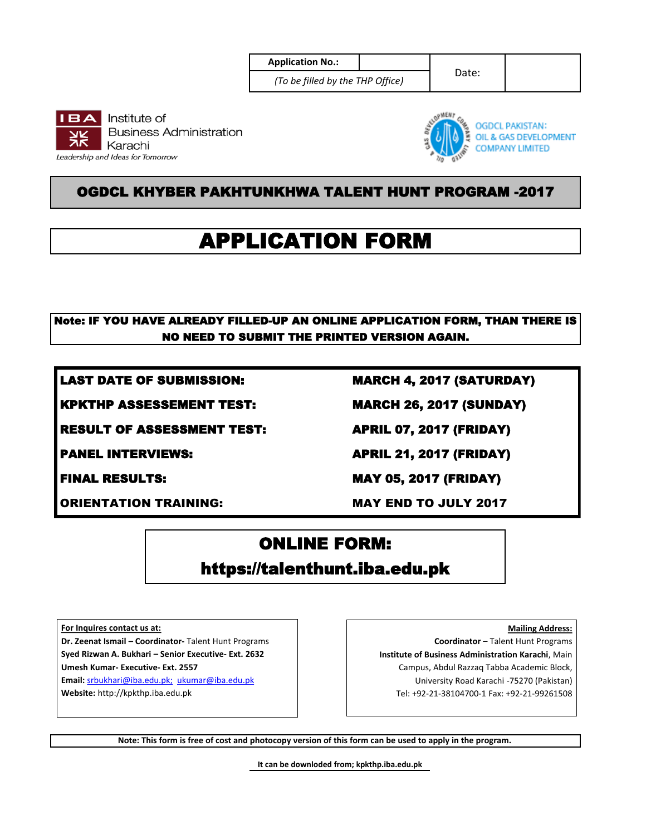| <b>Application No.:</b> |  |
|-------------------------|--|
|                         |  |

*(To be filled by the THP Office)*

Date:





## OGDCL KHYBER PAKHTUNKHWA TALENT HUNT PROGRAM -2017

# APPLICATION FORM

### Note: IF YOU HAVE ALREADY FILLED-UP AN ONLINE APPLICATION FORM, THAN THERE IS NO NEED TO SUBMIT THE PRINTED VERSION AGAIN.

LAST DATE OF SUBMISSION: MARCH 4, 2017 (SATURDAY)

KPKTHP ASSESSEMENT TEST: MARCH 26, 2017 (SUNDAY)

RESULT OF ASSESSMENT TEST: APRIL 07, 2017 (FRIDAY)

ORIENTATION TRAINING: MAY END TO JULY 2017

PANEL INTERVIEWS: APRIL 21, 2017 (FRIDAY)

FINAL RESULTS: MAY 05, 2017 (FRIDAY)

## ONLINE FORM: https://talenthunt.iba.edu.pk

**For Inquires contact us at:**

**Dr. Zeenat Ismail – Coordinator-** Talent Hunt Programs **Syed Rizwan A. Bukhari – Senior Executive- Ext. 2632 Umesh Kumar- Executive- Ext. 2557**

**Email:** srbukhari@iba.edu.pk; ukumar@iba.edu.pk **Website:** http://kpkthp.iba.edu.pk

**Mailing Address: Coordinator** – Talent Hunt Programs **Institute of Business Administration Karachi**, Main Campus, Abdul Razzaq Tabba Academic Block, University Road Karachi -75270 (Pakistan) Tel: +92-21-38104700-1 Fax: +92-21-99261508

**Note: This form is free of cost and photocopy version of this form can be used to apply in the program.** 

**It can be downloded from; kpkthp.iba.edu.pk**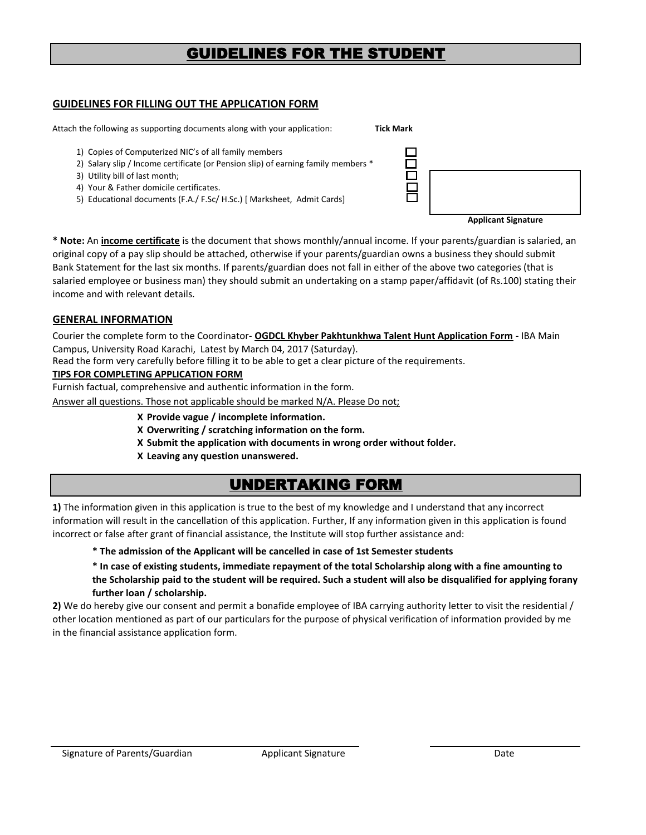## GUIDELINES FOR THE STUDENT

#### **GUIDELINES FOR FILLING OUT THE APPLICATION FORM**

Attach the following as supporting documents along with your application: **Tick Mark** 

- 1) Copies of Computerized NIC's of all family members
- 2) Salary slip / Income certificate (or Pension slip) of earning family mem
- 3) Utility bill of last month;
- 4) Your & Father domicile certificates.
- 5) Educational documents (F.A./ F.Sc/ H.Sc.) [ Marksheet, Admit Cards]

| nbers * |   |  |
|---------|---|--|
|         | _ |  |

**Applicant Signature**

**\* Note:** An **income certificate** is the document that shows monthly/annual income. If your parents/guardian is salaried, an original copy of a pay slip should be attached, otherwise if your parents/guardian owns a business they should submit Bank Statement for the last six months. If parents/guardian does not fall in either of the above two categories (that is salaried employee or business man) they should submit an undertaking on a stamp paper/affidavit (of Rs.100) stating their income and with relevant details.

#### **GENERAL INFORMATION**

Courier the complete form to the Coordinator- **OGDCL Khyber Pakhtunkhwa Talent Hunt Application Form** - IBA Main Campus, University Road Karachi, Latest by March 04, 2017 (Saturday).

Read the form very carefully before filling it to be able to get a clear picture of the requirements.

#### **TIPS FOR COMPLETING APPLICATION FORM**

Furnish factual, comprehensive and authentic information in the form.

Answer all questions. Those not applicable should be marked N/A. Please Do not;

- **Х Provide vague / incomplete information.**
- **Х Overwriting / scratching information on the form.**
- **X Submit the application with documents in wrong order without folder.**
- **X Leaving any question unanswered.**

## UNDERTAKING FORM

**1)** The information given in this application is true to the best of my knowledge and I understand that any incorrect information will result in the cancellation of this application. Further, If any information given in this application is found incorrect or false after grant of financial assistance, the Institute will stop further assistance and:

#### **\* The admission of the Applicant will be cancelled in case of 1st Semester students**

**\* In case of existing students, immediate repayment of the total Scholarship along with a fine amounting to the Scholarship paid to the student will be required. Such a student will also be disqualified for applying forany further loan / scholarship.**

**2)** We do hereby give our consent and permit a bonafide employee of IBA carrying authority letter to visit the residential / other location mentioned as part of our particulars for the purpose of physical verification of information provided by me in the financial assistance application form.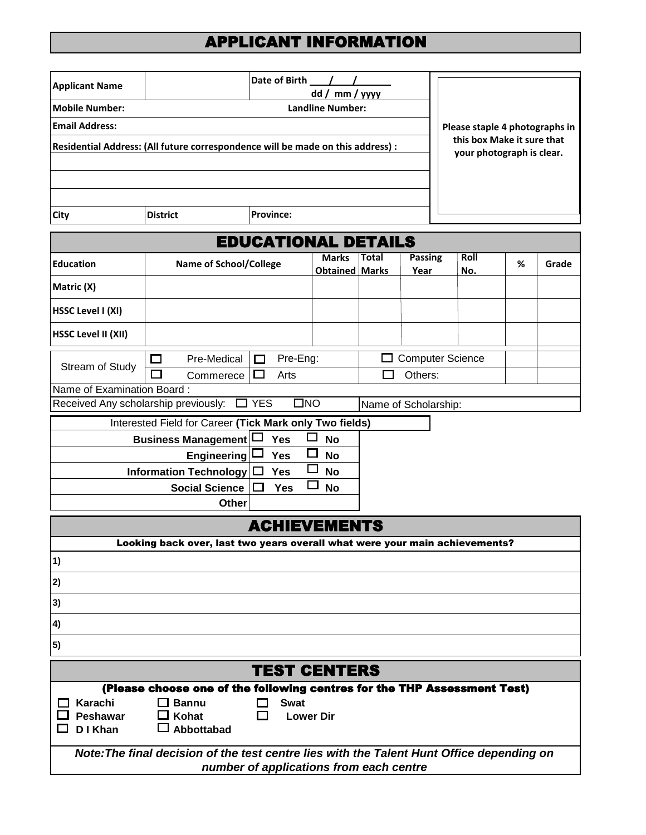## APPLICANT INFORMATION

| <b>Applicant Name</b>                                    |                                                                                           | Date of Birth                           |                                       |       |                         |                            |   |       |
|----------------------------------------------------------|-------------------------------------------------------------------------------------------|-----------------------------------------|---------------------------------------|-------|-------------------------|----------------------------|---|-------|
| <b>Mobile Number:</b>                                    | dd / mm / yyyy<br><b>Landline Number:</b>                                                 |                                         |                                       |       |                         |                            |   |       |
| <b>Email Address:</b><br>Please staple 4 photographs in  |                                                                                           |                                         |                                       |       |                         |                            |   |       |
|                                                          | Residential Address: (All future correspondence will be made on this address) :           |                                         |                                       |       |                         | this box Make it sure that |   |       |
|                                                          |                                                                                           |                                         |                                       |       |                         | your photograph is clear.  |   |       |
|                                                          |                                                                                           |                                         |                                       |       |                         |                            |   |       |
|                                                          |                                                                                           |                                         |                                       |       |                         |                            |   |       |
| <b>City</b>                                              | <b>District</b>                                                                           | <b>Province:</b>                        |                                       |       |                         |                            |   |       |
|                                                          |                                                                                           | <b>EDUCATIONAL DETAILS</b>              |                                       |       |                         |                            |   |       |
| <b>Education</b>                                         | <b>Name of School/College</b>                                                             |                                         | <b>Marks</b><br><b>Obtained Marks</b> | Total | <b>Passing</b><br>Year  | Roll<br>No.                | % | Grade |
| Matric (X)                                               |                                                                                           |                                         |                                       |       |                         |                            |   |       |
| <b>HSSC Level I (XI)</b>                                 |                                                                                           |                                         |                                       |       |                         |                            |   |       |
| <b>HSSC Level II (XII)</b>                               |                                                                                           |                                         |                                       |       |                         |                            |   |       |
|                                                          | Pre-Medical<br>ப                                                                          | Pre-Eng:<br>П                           |                                       |       | <b>Computer Science</b> |                            |   |       |
| Stream of Study                                          | Commerece                                                                                 | Arts                                    |                                       |       | Others:                 |                            |   |       |
| Name of Examination Board:                               |                                                                                           |                                         |                                       |       |                         |                            |   |       |
| Received Any scholarship previously:                     |                                                                                           | <b>YES</b>                              | $\square$ NO                          |       | Name of Scholarship:    |                            |   |       |
|                                                          | Interested Field for Career (Tick Mark only Two fields)                                   |                                         |                                       |       |                         |                            |   |       |
|                                                          | <b>Business Management</b>                                                                | Yes                                     | $\Box$<br><b>No</b>                   |       |                         |                            |   |       |
| <b>Engineering</b><br>Yes<br><b>No</b>                   |                                                                                           |                                         |                                       |       |                         |                            |   |       |
| <b>Information Technology</b><br><b>No</b><br><b>Yes</b> |                                                                                           |                                         |                                       |       |                         |                            |   |       |
|                                                          | <b>Social Science</b>                                                                     | <b>Yes</b>                              | <b>No</b>                             |       |                         |                            |   |       |
|                                                          | Other                                                                                     |                                         |                                       |       |                         |                            |   |       |
|                                                          |                                                                                           | <b>ACHIEVEMENTS</b>                     |                                       |       |                         |                            |   |       |
|                                                          | Looking back over, last two years overall what were your main achievements?               |                                         |                                       |       |                         |                            |   |       |
| 1)                                                       |                                                                                           |                                         |                                       |       |                         |                            |   |       |
| 2)                                                       |                                                                                           |                                         |                                       |       |                         |                            |   |       |
| 3)                                                       |                                                                                           |                                         |                                       |       |                         |                            |   |       |
| 4)                                                       |                                                                                           |                                         |                                       |       |                         |                            |   |       |
| $\vert 5)$                                               |                                                                                           |                                         |                                       |       |                         |                            |   |       |
|                                                          |                                                                                           | <b>TEST CENTERS</b>                     |                                       |       |                         |                            |   |       |
|                                                          | (Please choose one of the following centres for the THP Assessment Test)                  |                                         |                                       |       |                         |                            |   |       |
| Karachi                                                  | $\Box$ Bannu                                                                              | <b>Swat</b>                             |                                       |       |                         |                            |   |       |
| Peshawar<br>D I Khan                                     | Kohat<br>$\Box$<br>$\Box$ Abbottabad                                                      |                                         | <b>Lower Dir</b>                      |       |                         |                            |   |       |
|                                                          | Note: The final decision of the test centre lies with the Talent Hunt Office depending on | number of applications from each centre |                                       |       |                         |                            |   |       |